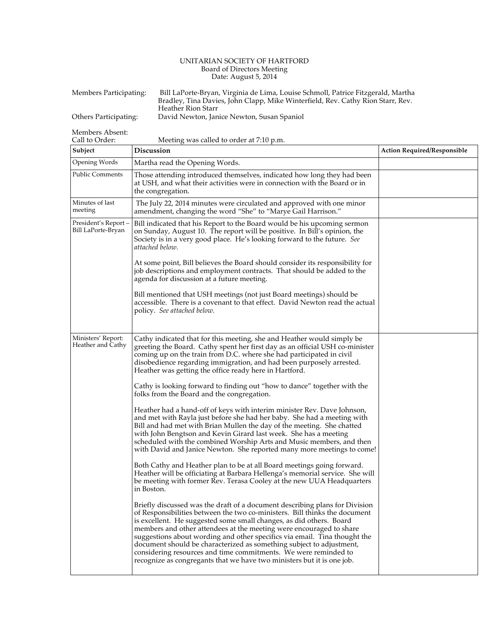## UNITARIAN SOCIETY OF HARTFORD Board of Directors Meeting Date: August 5, 2014

| Members Participating: | Bill LaPorte-Bryan, Virginia de Lima, Louise Schmoll, Patrice Fitzgerald, Martha<br>Bradley, Tina Davies, John Clapp, Mike Winterfield, Rev. Cathy Rion Starr, Rev. |  |
|------------------------|---------------------------------------------------------------------------------------------------------------------------------------------------------------------|--|
| Others Participating:  | Heather Rion Starr                                                                                                                                                  |  |
|                        | David Newton, Janice Newton, Susan Spaniol                                                                                                                          |  |

Members Absent:

| Call to Order:<br>Meeting was called to order at 7:10 p.m. |                                                                                                                                                                                                                                                                                                                                                                                                                                                                                                                                                                                                           |                                    |  |  |
|------------------------------------------------------------|-----------------------------------------------------------------------------------------------------------------------------------------------------------------------------------------------------------------------------------------------------------------------------------------------------------------------------------------------------------------------------------------------------------------------------------------------------------------------------------------------------------------------------------------------------------------------------------------------------------|------------------------------------|--|--|
| Subject                                                    | Discussion                                                                                                                                                                                                                                                                                                                                                                                                                                                                                                                                                                                                | <b>Action Required/Responsible</b> |  |  |
| Opening Words                                              | Martha read the Opening Words.                                                                                                                                                                                                                                                                                                                                                                                                                                                                                                                                                                            |                                    |  |  |
| <b>Public Comments</b>                                     | Those attending introduced themselves, indicated how long they had been<br>at USH, and what their activities were in connection with the Board or in<br>the congregation.                                                                                                                                                                                                                                                                                                                                                                                                                                 |                                    |  |  |
| Minutes of last<br>meeting                                 | The July 22, 2014 minutes were circulated and approved with one minor<br>amendment, changing the word "She" to "Marye Gail Harrison."                                                                                                                                                                                                                                                                                                                                                                                                                                                                     |                                    |  |  |
| President's Report-<br>Bill LaPorte-Bryan                  | Bill indicated that his Report to the Board would be his upcoming sermon<br>on Sunday, August 10. The report will be positive. In Bill's opinion, the<br>Society is in a very good place. He's looking forward to the future. See<br>attached below.                                                                                                                                                                                                                                                                                                                                                      |                                    |  |  |
|                                                            | At some point, Bill believes the Board should consider its responsibility for<br>job descriptions and employment contracts. That should be added to the<br>agenda for discussion at a future meeting.                                                                                                                                                                                                                                                                                                                                                                                                     |                                    |  |  |
|                                                            | Bill mentioned that USH meetings (not just Board meetings) should be<br>accessible. There is a covenant to that effect. David Newton read the actual<br>policy. See attached below.                                                                                                                                                                                                                                                                                                                                                                                                                       |                                    |  |  |
|                                                            |                                                                                                                                                                                                                                                                                                                                                                                                                                                                                                                                                                                                           |                                    |  |  |
| Ministers' Report:<br>Heather and Cathy                    | Cathy indicated that for this meeting, she and Heather would simply be<br>greeting the Board. Cathy spent her first day as an official USH co-minister<br>coming up on the train from D.C. where she had participated in civil<br>disobedience regarding immigration, and had been purposely arrested.<br>Heather was getting the office ready here in Hartford.                                                                                                                                                                                                                                          |                                    |  |  |
|                                                            | Cathy is looking forward to finding out "how to dance" together with the<br>folks from the Board and the congregation.                                                                                                                                                                                                                                                                                                                                                                                                                                                                                    |                                    |  |  |
|                                                            | Heather had a hand-off of keys with interim minister Rev. Dave Johnson,<br>and met with Rayla just before she had her baby. She had a meeting with<br>Bill and had met with Brian Mullen the day of the meeting. She chatted<br>with John Bengtson and Kevin Girard last week. She has a meeting<br>scheduled with the combined Worship Arts and Music members, and then<br>with David and Janice Newton. She reported many more meetings to come!                                                                                                                                                        |                                    |  |  |
|                                                            | Both Cathy and Heather plan to be at all Board meetings going forward.<br>Heather will be officiating at Barbara Hellenga's memorial service. She will<br>be meeting with former Rev. Terasa Cooley at the new UUA Headquarters<br>in Boston.                                                                                                                                                                                                                                                                                                                                                             |                                    |  |  |
|                                                            | Briefly discussed was the draft of a document describing plans for Division<br>of Responsibilities between the two co-ministers. Bill thinks the document<br>is excellent. He suggested some small changes, as did others. Board<br>members and other attendees at the meeting were encouraged to share<br>suggestions about wording and other specifics via email. Tina thought the<br>document should be characterized as something subject to adjustment,<br>considering resources and time commitments. We were reminded to<br>recognize as congregants that we have two ministers but it is one job. |                                    |  |  |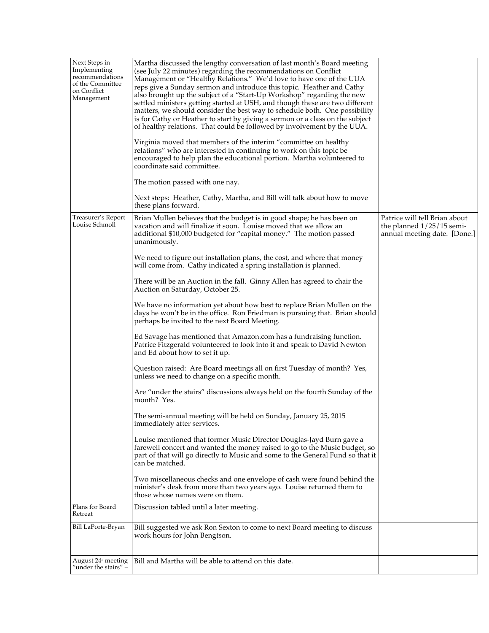| Next Steps in<br>Implementing<br>recommendations<br>of the Committee<br>on Conflict<br>Management<br>Treasurer's Report<br>Louise Schmoll | Martha discussed the lengthy conversation of last month's Board meeting<br>(see July 22 minutes) regarding the recommendations on Conflict<br>Management or "Healthy Relations." We'd love to have one of the UUA<br>reps give a Sunday sermon and introduce this topic. Heather and Cathy<br>also brought up the subject of a "Start-Up Workshop" regarding the new<br>settled ministers getting started at USH, and though these are two different<br>matters, we should consider the best way to schedule both. One possibility<br>is for Cathy or Heather to start by giving a sermon or a class on the subject<br>of healthy relations. That could be followed by involvement by the UUA.<br>Virginia moved that members of the interim "committee on healthy<br>relations" who are interested in continuing to work on this topic be<br>encouraged to help plan the educational portion. Martha volunteered to<br>coordinate said committee.<br>The motion passed with one nay.<br>Next steps: Heather, Cathy, Martha, and Bill will talk about how to move<br>these plans forward.<br>Brian Mullen believes that the budget is in good shape; he has been on<br>vacation and will finalize it soon. Louise moved that we allow an<br>additional \$10,000 budgeted for "capital money." The motion passed<br>unanimously.<br>We need to figure out installation plans, the cost, and where that money<br>will come from. Cathy indicated a spring installation is planned.<br>There will be an Auction in the fall. Ginny Allen has agreed to chair the<br>Auction on Saturday, October 25.<br>We have no information yet about how best to replace Brian Mullen on the<br>days he won't be in the office. Ron Friedman is pursuing that. Brian should<br>perhaps be invited to the next Board Meeting.<br>Ed Savage has mentioned that Amazon.com has a fundraising function.<br>Patrice Fitzgerald volunteered to look into it and speak to David Newton<br>and Ed about how to set it up.<br>Question raised: Are Board meetings all on first Tuesday of month? Yes,<br>unless we need to change on a specific month.<br>Are "under the stairs" discussions always held on the fourth Sunday of the<br>month? Yes.<br>The semi-annual meeting will be held on Sunday, January 25, 2015<br>immediately after services.<br>Louise mentioned that former Music Director Douglas-Jayd Burn gave a<br>farewell concert and wanted the money raised to go to the Music budget, so<br>part of that will go directly to Music and some to the General Fund so that it<br>can be matched.<br>Two miscellaneous checks and one envelope of cash were found behind the | Patrice will tell Brian about<br>the planned $1/25/15$ semi-<br>annual meeting date. [Done.] |
|-------------------------------------------------------------------------------------------------------------------------------------------|----------------------------------------------------------------------------------------------------------------------------------------------------------------------------------------------------------------------------------------------------------------------------------------------------------------------------------------------------------------------------------------------------------------------------------------------------------------------------------------------------------------------------------------------------------------------------------------------------------------------------------------------------------------------------------------------------------------------------------------------------------------------------------------------------------------------------------------------------------------------------------------------------------------------------------------------------------------------------------------------------------------------------------------------------------------------------------------------------------------------------------------------------------------------------------------------------------------------------------------------------------------------------------------------------------------------------------------------------------------------------------------------------------------------------------------------------------------------------------------------------------------------------------------------------------------------------------------------------------------------------------------------------------------------------------------------------------------------------------------------------------------------------------------------------------------------------------------------------------------------------------------------------------------------------------------------------------------------------------------------------------------------------------------------------------------------------------------------------------------------------------------------------------------------------------------------------------------------------------------------------------------------------------------------------------------------------------------------------------------------------------------------------------------------------------------------------------------------------------------------------------------------------------------------------------------------------------------------------------------------------------------------------------------------|----------------------------------------------------------------------------------------------|
|                                                                                                                                           | minister's desk from more than two years ago. Louise returned them to<br>those whose names were on them.                                                                                                                                                                                                                                                                                                                                                                                                                                                                                                                                                                                                                                                                                                                                                                                                                                                                                                                                                                                                                                                                                                                                                                                                                                                                                                                                                                                                                                                                                                                                                                                                                                                                                                                                                                                                                                                                                                                                                                                                                                                                                                                                                                                                                                                                                                                                                                                                                                                                                                                                                             |                                                                                              |
| Plans for Board<br>Retreat                                                                                                                | Discussion tabled until a later meeting.                                                                                                                                                                                                                                                                                                                                                                                                                                                                                                                                                                                                                                                                                                                                                                                                                                                                                                                                                                                                                                                                                                                                                                                                                                                                                                                                                                                                                                                                                                                                                                                                                                                                                                                                                                                                                                                                                                                                                                                                                                                                                                                                                                                                                                                                                                                                                                                                                                                                                                                                                                                                                             |                                                                                              |
| Bill LaPorte-Bryan                                                                                                                        | Bill suggested we ask Ron Sexton to come to next Board meeting to discuss<br>work hours for John Bengtson.                                                                                                                                                                                                                                                                                                                                                                                                                                                                                                                                                                                                                                                                                                                                                                                                                                                                                                                                                                                                                                                                                                                                                                                                                                                                                                                                                                                                                                                                                                                                                                                                                                                                                                                                                                                                                                                                                                                                                                                                                                                                                                                                                                                                                                                                                                                                                                                                                                                                                                                                                           |                                                                                              |
| August 24 <sup>*</sup> meeting<br>"under the stairs" -                                                                                    | Bill and Martha will be able to attend on this date.                                                                                                                                                                                                                                                                                                                                                                                                                                                                                                                                                                                                                                                                                                                                                                                                                                                                                                                                                                                                                                                                                                                                                                                                                                                                                                                                                                                                                                                                                                                                                                                                                                                                                                                                                                                                                                                                                                                                                                                                                                                                                                                                                                                                                                                                                                                                                                                                                                                                                                                                                                                                                 |                                                                                              |
|                                                                                                                                           |                                                                                                                                                                                                                                                                                                                                                                                                                                                                                                                                                                                                                                                                                                                                                                                                                                                                                                                                                                                                                                                                                                                                                                                                                                                                                                                                                                                                                                                                                                                                                                                                                                                                                                                                                                                                                                                                                                                                                                                                                                                                                                                                                                                                                                                                                                                                                                                                                                                                                                                                                                                                                                                                      |                                                                                              |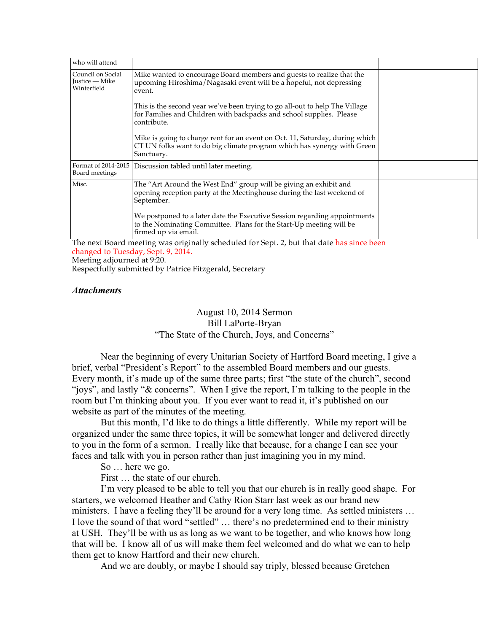| who will attend                                    |                                                                                                                                                                          |  |
|----------------------------------------------------|--------------------------------------------------------------------------------------------------------------------------------------------------------------------------|--|
| Council on Social<br>Justice — Mike<br>Winterfield | Mike wanted to encourage Board members and guests to realize that the<br>upcoming Hiroshima/Nagasaki event will be a hopeful, not depressing<br>event.                   |  |
|                                                    | This is the second year we've been trying to go all-out to help The Village<br>for Families and Children with backpacks and school supplies. Please<br>contribute.       |  |
|                                                    | Mike is going to charge rent for an event on Oct. 11, Saturday, during which<br>CT UN folks want to do big climate program which has synergy with Green<br>Sanctuary.    |  |
| Format of 2014-2015<br>Board meetings              | Discussion tabled until later meeting.                                                                                                                                   |  |
| Misc.                                              | The "Art Around the West End" group will be giving an exhibit and<br>opening reception party at the Meetinghouse during the last weekend of<br>September.                |  |
|                                                    | We postponed to a later date the Executive Session regarding appointments<br>to the Nominating Committee. Plans for the Start-Up meeting will be<br>firmed up via email. |  |

The next Board meeting was originally scheduled for Sept. 2, but that date has since been changed to Tuesday, Sept. 9, 2014. Meeting adjourned at 9:20.

Respectfully submitted by Patrice Fitzgerald, Secretary

## *Attachments*

## August 10, 2014 Sermon Bill LaPorte-Bryan "The State of the Church, Joys, and Concerns"

Near the beginning of every Unitarian Society of Hartford Board meeting, I give a brief, verbal "President's Report" to the assembled Board members and our guests. Every month, it's made up of the same three parts; first "the state of the church", second "joys", and lastly "& concerns". When I give the report, I'm talking to the people in the room but I'm thinking about you. If you ever want to read it, it's published on our website as part of the minutes of the meeting.

But this month, I'd like to do things a little differently. While my report will be organized under the same three topics, it will be somewhat longer and delivered directly to you in the form of a sermon. I really like that because, for a change I can see your faces and talk with you in person rather than just imagining you in my mind.

So … here we go.

First … the state of our church.

I'm very pleased to be able to tell you that our church is in really good shape. For starters, we welcomed Heather and Cathy Rion Starr last week as our brand new ministers. I have a feeling they'll be around for a very long time. As settled ministers … I love the sound of that word "settled" … there's no predetermined end to their ministry at USH. They'll be with us as long as we want to be together, and who knows how long that will be. I know all of us will make them feel welcomed and do what we can to help them get to know Hartford and their new church.

And we are doubly, or maybe I should say triply, blessed because Gretchen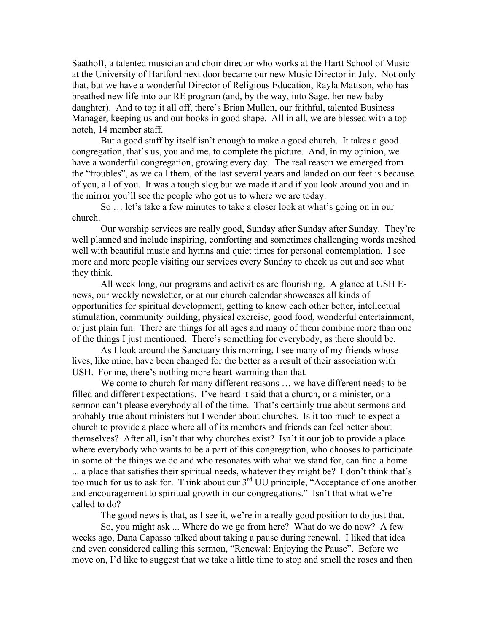Saathoff, a talented musician and choir director who works at the Hartt School of Music at the University of Hartford next door became our new Music Director in July. Not only that, but we have a wonderful Director of Religious Education, Rayla Mattson, who has breathed new life into our RE program (and, by the way, into Sage, her new baby daughter). And to top it all off, there's Brian Mullen, our faithful, talented Business Manager, keeping us and our books in good shape. All in all, we are blessed with a top notch, 14 member staff.

But a good staff by itself isn't enough to make a good church. It takes a good congregation, that's us, you and me, to complete the picture. And, in my opinion, we have a wonderful congregation, growing every day. The real reason we emerged from the "troubles", as we call them, of the last several years and landed on our feet is because of you, all of you. It was a tough slog but we made it and if you look around you and in the mirror you'll see the people who got us to where we are today.

So … let's take a few minutes to take a closer look at what's going on in our church.

Our worship services are really good, Sunday after Sunday after Sunday. They're well planned and include inspiring, comforting and sometimes challenging words meshed well with beautiful music and hymns and quiet times for personal contemplation. I see more and more people visiting our services every Sunday to check us out and see what they think.

All week long, our programs and activities are flourishing. A glance at USH Enews, our weekly newsletter, or at our church calendar showcases all kinds of opportunities for spiritual development, getting to know each other better, intellectual stimulation, community building, physical exercise, good food, wonderful entertainment, or just plain fun. There are things for all ages and many of them combine more than one of the things I just mentioned. There's something for everybody, as there should be.

As I look around the Sanctuary this morning, I see many of my friends whose lives, like mine, have been changed for the better as a result of their association with USH. For me, there's nothing more heart-warming than that.

We come to church for many different reasons … we have different needs to be filled and different expectations. I've heard it said that a church, or a minister, or a sermon can't please everybody all of the time. That's certainly true about sermons and probably true about ministers but I wonder about churches. Is it too much to expect a church to provide a place where all of its members and friends can feel better about themselves? After all, isn't that why churches exist? Isn't it our job to provide a place where everybody who wants to be a part of this congregation, who chooses to participate in some of the things we do and who resonates with what we stand for, can find a home ... a place that satisfies their spiritual needs, whatever they might be? I don't think that's too much for us to ask for. Think about our  $3<sup>rd</sup>$  UU principle, "Acceptance of one another and encouragement to spiritual growth in our congregations." Isn't that what we're called to do?

The good news is that, as I see it, we're in a really good position to do just that.

So, you might ask ... Where do we go from here? What do we do now? A few weeks ago, Dana Capasso talked about taking a pause during renewal. I liked that idea and even considered calling this sermon, "Renewal: Enjoying the Pause". Before we move on, I'd like to suggest that we take a little time to stop and smell the roses and then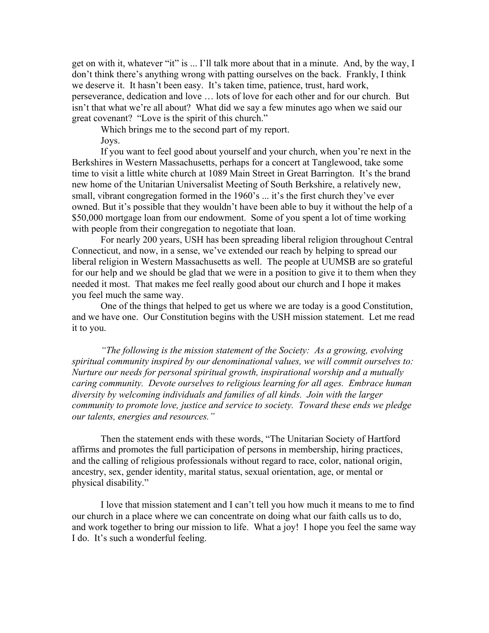get on with it, whatever "it" is ... I'll talk more about that in a minute. And, by the way, I don't think there's anything wrong with patting ourselves on the back. Frankly, I think we deserve it. It hasn't been easy. It's taken time, patience, trust, hard work, perseverance, dedication and love … lots of love for each other and for our church. But isn't that what we're all about? What did we say a few minutes ago when we said our great covenant? "Love is the spirit of this church."

Which brings me to the second part of my report. Joys.

If you want to feel good about yourself and your church, when you're next in the Berkshires in Western Massachusetts, perhaps for a concert at Tanglewood, take some time to visit a little white church at 1089 Main Street in Great Barrington. It's the brand new home of the Unitarian Universalist Meeting of South Berkshire, a relatively new, small, vibrant congregation formed in the 1960's ... it's the first church they've ever owned. But it's possible that they wouldn't have been able to buy it without the help of a \$50,000 mortgage loan from our endowment. Some of you spent a lot of time working with people from their congregation to negotiate that loan.

For nearly 200 years, USH has been spreading liberal religion throughout Central Connecticut, and now, in a sense, we've extended our reach by helping to spread our liberal religion in Western Massachusetts as well. The people at UUMSB are so grateful for our help and we should be glad that we were in a position to give it to them when they needed it most. That makes me feel really good about our church and I hope it makes you feel much the same way.

One of the things that helped to get us where we are today is a good Constitution, and we have one. Our Constitution begins with the USH mission statement. Let me read it to you.

*"The following is the mission statement of the Society: As a growing, evolving spiritual community inspired by our denominational values, we will commit ourselves to: Nurture our needs for personal spiritual growth, inspirational worship and a mutually caring community. Devote ourselves to religious learning for all ages. Embrace human diversity by welcoming individuals and families of all kinds. Join with the larger community to promote love, justice and service to society. Toward these ends we pledge our talents, energies and resources."*

Then the statement ends with these words, "The Unitarian Society of Hartford affirms and promotes the full participation of persons in membership, hiring practices, and the calling of religious professionals without regard to race, color, national origin, ancestry, sex, gender identity, marital status, sexual orientation, age, or mental or physical disability."

I love that mission statement and I can't tell you how much it means to me to find our church in a place where we can concentrate on doing what our faith calls us to do, and work together to bring our mission to life. What a joy! I hope you feel the same way I do. It's such a wonderful feeling.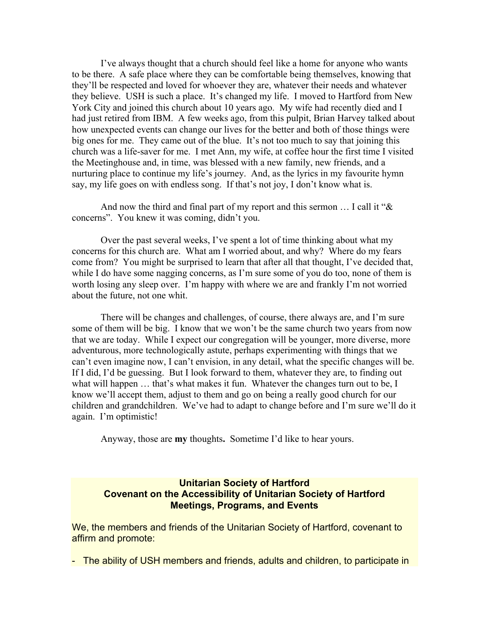I've always thought that a church should feel like a home for anyone who wants to be there. A safe place where they can be comfortable being themselves, knowing that they'll be respected and loved for whoever they are, whatever their needs and whatever they believe. USH is such a place. It's changed my life. I moved to Hartford from New York City and joined this church about 10 years ago. My wife had recently died and I had just retired from IBM. A few weeks ago, from this pulpit, Brian Harvey talked about how unexpected events can change our lives for the better and both of those things were big ones for me. They came out of the blue. It's not too much to say that joining this church was a life-saver for me. I met Ann, my wife, at coffee hour the first time I visited the Meetinghouse and, in time, was blessed with a new family, new friends, and a nurturing place to continue my life's journey. And, as the lyrics in my favourite hymn say, my life goes on with endless song. If that's not joy, I don't know what is.

And now the third and final part of my report and this sermon … I call it "& concerns". You knew it was coming, didn't you.

Over the past several weeks, I've spent a lot of time thinking about what my concerns for this church are. What am I worried about, and why? Where do my fears come from? You might be surprised to learn that after all that thought, I've decided that, while I do have some nagging concerns, as I'm sure some of you do too, none of them is worth losing any sleep over. I'm happy with where we are and frankly I'm not worried about the future, not one whit.

There will be changes and challenges, of course, there always are, and I'm sure some of them will be big. I know that we won't be the same church two years from now that we are today. While I expect our congregation will be younger, more diverse, more adventurous, more technologically astute, perhaps experimenting with things that we can't even imagine now, I can't envision, in any detail, what the specific changes will be. If I did, I'd be guessing. But I look forward to them, whatever they are, to finding out what will happen ... that's what makes it fun. Whatever the changes turn out to be, I know we'll accept them, adjust to them and go on being a really good church for our children and grandchildren. We've had to adapt to change before and I'm sure we'll do it again. I'm optimistic!

Anyway, those are **my** thoughts**.** Sometime I'd like to hear yours.

## **Unitarian Society of Hartford Covenant on the Accessibility of Unitarian Society of Hartford Meetings, Programs, and Events**

We, the members and friends of the Unitarian Society of Hartford, covenant to affirm and promote:

- The ability of USH members and friends, adults and children, to participate in